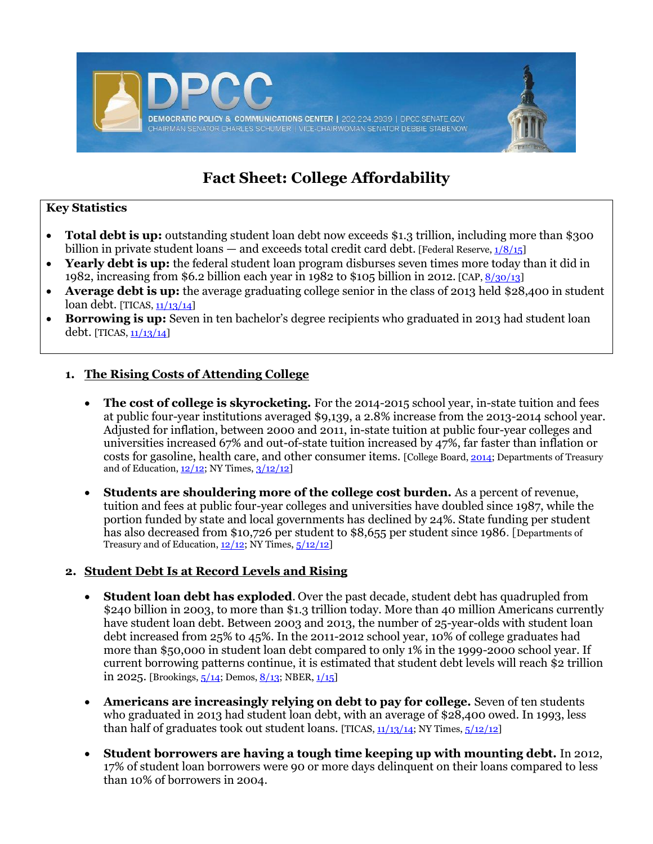

# **Fact Sheet: College Affordability**

## **Key Statistics**

- **Total debt is up:** outstanding student loan debt now exceeds \$1.3 trillion, including more than \$300 billion in private student loans — and exceeds total credit card debt. [Federal Reserve,  $\frac{1}{8}/\frac{5}{15}$ ]
- **Yearly debt is up:** the federal student loan program disburses seven times more today than it did in 1982, increasing from \$6.2 billion each year in 1982 to \$105 billion in 2012. [CAP, [8/30/13\]](http://www.americanprogress.org/issues/higher-education/report/2013/08/20/72508/how-qualified-student-loans-could-protect-borrowers-and-taxpayers/)
- **Average debt is up:** the average graduating college senior in the class of 2013 held \$28,400 in student loan debt. [TICAS, [11/13/14\]](http://projectonstudentdebt.org/files/pub/Student_Debt_and_the_Class_of_2013_NR.pdf)
- **Borrowing is up:** Seven in ten bachelor's degree recipients who graduated in 2013 had student loan debt. [TICAS,  $\frac{11}{13}{14}$ ]

## **1. The Rising Costs of Attending College**

- The cost of college is skyrocketing. For the 2014-2015 school year, in-state tuition and fees at public four-year institutions averaged \$9,139, a 2.8% increase from the 2013-2014 school year. Adjusted for inflation, between 2000 and 2011, in-state tuition at public four-year colleges and universities increased 67% and out-of-state tuition increased by 47%, far faster than inflation or costs for gasoline, health care, and other consumer items. [College Board, [2014;](http://trends.collegeboard.org/sites/default/files/2014-trends-college-pricing-final-web.pdf) Departments of Treasury and of Education,  $\frac{12}{12}$ ; NY Times,  $\frac{3}{12}{12}$
- **Students are shouldering more of the college cost burden.** As a percent of revenue, tuition and fees at public four-year colleges and universities have doubled since 1987, while the portion funded by state and local governments has declined by 24%. State funding per student has also decreased from \$10,726 per student to \$8,655 per student since 1986. [Departments of Treasury and of Education,  $12/12$ ; NY Times,  $5/12/12$ ]

#### **2. Student Debt Is at Record Levels and Rising**

- **Student loan debt has exploded**. Over the past decade, student debt has quadrupled from \$240 billion in 2003, to more than \$1.3 trillion today. More than 40 million Americans currently have student loan debt. Between 2003 and 2013, the number of 25-year-olds with student loan debt increased from 25% to 45%. In the 2011-2012 school year, 10% of college graduates had more than \$50,000 in student loan debt compared to only 1% in the 1999-2000 school year. If current borrowing patterns continue, it is estimated that student debt levels will reach \$2 trillion in 2025. [Brookings,  $\frac{5}{14}$ ; Demos,  $\frac{8}{13}$ ; NBER,  $\frac{1}{15}$ ]
- **Americans are increasingly relying on debt to pay for college.** Seven of ten students who graduated in 2013 had student loan debt, with an average of \$28,400 owed. In 1993, less than half of graduates took out student loans. [TICAS,  $11/13/14$ ; NY Times,  $5/12/12$ ]
- **Student borrowers are having a tough time keeping up with mounting debt.** In 2012, 17% of student loan borrowers were 90 or more days delinquent on their loans compared to less than 10% of borrowers in 2004.